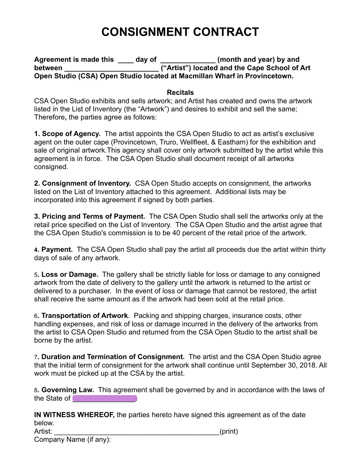## **CONSIGNMENT CONTRACT**

Agreement is made this day of **the same of the same of the same of the same of the same of the same of the same of the same of the same of the same of the same of the same of the same of the same of the same of the same of between between** *detween detween detween detween deta <i>deta deta deta deta deta deta deta deta deta deta deta deta deta deta deta deta* **Open Studio (CSA) Open Studio located at Macmillan Wharf in Provincetown.** 

## **Recitals**

CSA Open Studio exhibits and sells artwork; and Artist has created and owns the artwork listed in the List of Inventory (the "Artwork") and desires to exhibit and sell the same; Therefore**,** the parties agree as follows:

**1. Scope of Agency.** The artist appoints the CSA Open Studio to act as artist's exclusive agent on the outer cape (Provincetown, Truro, Wellfleet, & Eastham) for the exhibition and sale of original artwork.This agency shall cover only artwork submitted by the artist while this agreement is in force. The CSA Open Studio shall document receipt of all artworks consigned.

**2. Consignment of Inventory.** CSA Open Studio accepts on consignment, the artworks listed on the List of Inventory attached to this agreement. Additional lists may be incorporated into this agreement if signed by both parties.

**3. Pricing and Terms of Payment.** The CSA Open Studio shall sell the artworks only at the retail price specified on the List of Inventory. The CSA Open Studio and the artist agree that the CSA Open Studio's commission is to be 40 percent of the retail price of the artwork.

**4. Payment.** The CSA Open Studio shall pay the artist all proceeds due the artist within thirty days of sale of any artwork.

5**. Loss or Damage.** The gallery shall be strictly liable for loss or damage to any consigned artwork from the date of delivery to the gallery until the artwork is returned to the artist or delivered to a purchaser. In the event of loss or damage that cannot be restored, the artist shall receive the same amount as if the artwork had been sold at the retail price.

6**. Transportation of Artwork**. Packing and shipping charges, insurance costs, other handling expenses, and risk of loss or damage incurred in the delivery of the artworks from the artist to CSA Open Studio and returned from the CSA Open Studio to the artist shall be borne by the artist.

7**. Duration and Termination of Consignment.** The artist and the CSA Open Studio agree that the initial term of consignment for the artwork shall continue until September 30, 2018. All work must be picked up at the CSA by the artist.

8**. Governing Law.** This agreement shall be governed by and in accordance with the laws of the State of **Example 20** 

**IN WITNESS WHEREOF,** the parties hereto have signed this agreement as of the date below.

Artist: \_\_\_\_\_\_\_\_\_\_\_\_\_\_\_\_\_\_\_\_\_\_\_\_\_\_\_\_\_\_\_\_\_\_\_\_\_\_\_\_\_\_(print)

Company Name (if any):